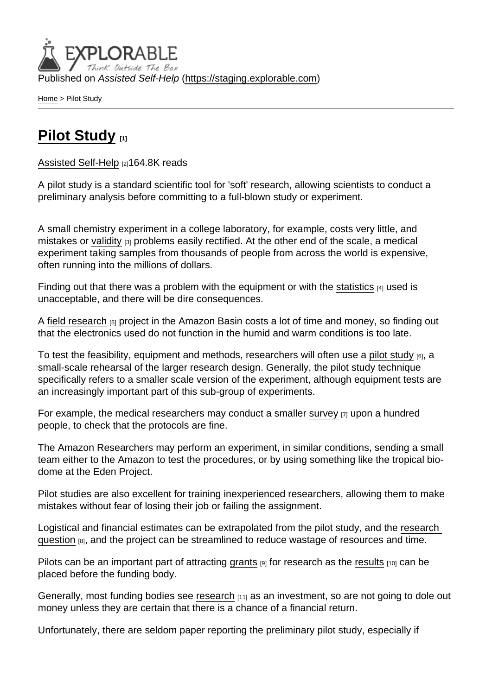Published on Assisted Self-Help [\(https://staging.explorable.com](https://staging.explorable.com))

[Home](https://staging.explorable.com/en) > Pilot Study

## [Pilot Study](https://staging.explorable.com/en/pilot-study) [1]

[Assisted Self-Help](https://staging.explorable.com/en) [2]164.8K reads

A pilot study is a standard scientific tool for 'soft' research, allowing scientists to conduct a preliminary analysis before committing to a full-blown study or experiment.

A small chemistry experiment in a college laboratory, for example, costs very little, and mistakes or [validity](https://staging.explorable.com/internal-validity) [3] problems easily rectified. At the other end of the scale, a medical experiment taking samples from thousands of people from across the world is expensive, often running into the millions of dollars.

Finding out that there was a problem with the equipment or with the [statistics](https://staging.explorable.com/statistics-tutorial) [4] used is unacceptable, and there will be dire consequences.

A [field research](https://staging.explorable.com/field-experiments) [5] project in the Amazon Basin costs a lot of time and money, so finding out that the electronics used do not function in the humid and warm conditions is too late.

To test the feasibility, equipment and methods, researchers will often use a [pilot study](http://sru.soc.surrey.ac.uk/SRU35)  $_{[6]}$ , a small-scale rehearsal of the larger research design. Generally, the pilot study technique specifically refers to a smaller scale version of the experiment, although equipment tests are an increasingly important part of this sub-group of experiments.

For example, the medical researchers may conduct a smaller [survey](https://staging.explorable.com/survey-research-design)  $[7]$  upon a hundred people, to check that the protocols are fine.

The Amazon Researchers may perform an experiment, in similar conditions, sending a small team either to the Amazon to test the procedures, or by using something like the tropical biodome at the Eden Project.

Pilot studies are also excellent for training inexperienced researchers, allowing them to make mistakes without fear of losing their job or failing the assignment.

Logistical and financial estimates can be extrapolated from the pilot study, and the [research](https://staging.explorable.com/defining-a-research-problem)  [question](https://staging.explorable.com/defining-a-research-problem) [8], and the project can be streamlined to reduce wastage of resources and time.

Pilots can be an important part of attracting [grants](https://staging.explorable.com/research-grant-funding)  $[9]$  for research as the [results](https://staging.explorable.com/statistically-significant-results)  $[10]$  can be placed before the funding body.

Generally, most funding bodies see [research](https://staging.explorable.com/what-is-research) [11] as an investment, so are not going to dole out money unless they are certain that there is a chance of a financial return.

Unfortunately, there are seldom paper reporting the preliminary pilot study, especially if